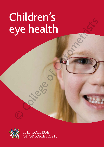# Children's<br>eye health eye health<br>
eye health<br>
College of Optometrists<br>
College of Optometrists<br>
College of Optometrists<br>
College of Optometrists<br>
College of Optometrists<br>
College of Optometrists<br>
College of Optometrists<br>
College of Optometrists



THE COLLEGE<br>OF OPTOMETRISTS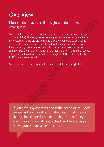## **Overview**

#### Most children have excellent sight and do not need to wear glasses.

Some children may have vision screening done at school (between the ages of four and five). However, the earlier any problems are picked up the better the outcome. If there are problems and they are not picked up at an early age, the child may have permanently reduced vision in one or both eyes. If you have any concerns about your child's eyes, or if there is a history of squint or lazy eye in the family, do not wait for the vision screening at school. Take your child to a local optometrist for a sight test. This is free under the NHS for children under 16. St children have excellent sight and do not need to<br>
ar glasses.<br>
ar glasses.<br>
ar glasses.<br>
ar difve). However, the eatier any problems are picked up the better<br>
buttome. If there are problems and they are not picked up at

Your child does not have to be able to read or talk to have a sight test.

If you have any concerns about the health of your eyes, please visit your local optometrist. Optometrists are the eye health specialists on the high street. An eye examination is a vital health check and should be part of everyone's normal health care.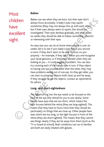## Most children have excellent childr<br>have<br>excell<br>sight.

#### **Babies**

Babies can see when they are born, but their eyes don't always focus accurately. A baby's eyes may squint sometimes (they may not always line up with each other), but if their eyes always seem to squint, this should be investigated. Their eyes develop gradually, and after about six weeks they should be able to follow something colourful or interesting with their eyes.

An easy test you can do at home when a baby is over six weeks old is to see if your baby's eyes follow you around a room. If they don't seem to be able to focus on you properly – for example, if they can't follow you and recognise your facial gestures, or if their eyes wander when they are looking at you – it could suggest a problem. You can also try covering each of the baby's eyes in turn. If they object to having one eye covered more than the other, they may have problems seeing out of one eye. As they get older, you can start to point out objects both close up and far away. If they struggle to see the objects, contact an optometrist for advice. **Example 10**<br> **Example 10**<br> **Examples focus accurately.** A baby's gest may saquit<br>
sometimes (they may not always use up with each other),<br>
but if their eyes always seem to squint, this should be<br> **CCLIENT**<br>
investigated.

#### **Long- and short-sightedness**

The light coming into the eye needs to be focused on the back of the eye (the retina) for you to see clearly. Some people have eyes that are too short, which means the light focuses behind the retina (they are long-sighted). This means that they have to focus more than they should do, particularly on things that are close up. Other people have eyes which are too long, so the light focuses in front of the retina (they are short-sighted). This means that they cannot see things clearly if they are far away from them (such as the TV or board at school). Both conditions can run in families and both are easily treated with glasses.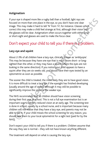#### **Astigmatism**

If your eye is shaped more like a rugby ball than a football, light rays are focused on more than one place in the eye, so you don't have one clear image. This may make it hard to tell 'N' from 'H', for instance. Glasses which correct this may make a child feel strange at first, although their vision with the glasses will be clear. Astigmatism often occurs together with either longor short-sight and glasses are used to make the focus clear.

#### **Lazy eye and squint**

About 2-3% of all children have a lazy eye, clinically known as 'amblyopia'. This may be because they have one eye that is much more short- or longsighted than the other, or they may have a squint (where the eyes are not looking in the same direction). If you notice your child appears to have a squint after they are six weeks old, you should have their eyes tested by an optometrist as soon as possible.

The sooner the child is treated, the more likely they are to have good vision. It is more difficult to treat a lazy eye if the eyesight has finished developing (usually around the age of seven), although it may still be possible to significantly improve the vision in the weaker eye.

The NHS recommends that all children should have vision screening during their first year at school. This is not a full eye examination but is an important way to identify reduced vision at an early age. The screening test is done in school, usually by a school nurse, and is important because many children will not realise that they have a lazy eye, and parents may not be able to see it. If your child misses the school screening for any reason, you should take them to your local optometrist for a sight test (paid for by the NHS). If your eye is shaped more like a rugby ball than a football, light rays are<br>
focused on more than one place in the eye, so you don't have one clear<br>
formered this may make it hard to tell 'N' from 'H', for instance. Glass

Don't expect your child to tell you if there is a problem. Children assume that the way they see is normal – they will not have known anything different.

The treatment will depend on what is causing the lazy eye.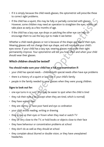- • If it is simply because the child needs glasses, the optometrist will prescribe these to correct sight problems.
- If the child has a squint, this may be fully or partially corrected with glasses. However, some children may need an operation to straighten the eyes, which can take place as early as a few months of age.
- If the child has a lazy eye, eye drops or patching the other eye can help to encourage them to use the lazy eye to make it see better.

Whether a child needs glasses or not is because of the shape and size of their eyes. Wearing glasses will not change their eye shape, and will not make your child's eyes worse. If your child has a lazy eye, wearing glasses may make their sight permanently improve. Your optometrist will tell you how often and when your child should wear their glasses. the child has a squint, this may be fully or partially corrected with glasses,<br>owever, some children may need an operation to straighten the eyes, which can<br>ke place as early as a few months of age.<br>the child has a lazy ey

#### **Which children should be tested?**

#### **You should make sure your child has a full eye examination if:**

- your child has special needs children with special needs often have eye problems
- there is a history of a squint or lazy eye in your child's family
- people in the family needed to wear glasses when they were young children.

#### **Signs to look out for:**

- $\cdot$  one eye turns in or out this may be easier to spot when the child is tired
- they rub their eyes a lot (except when they are tired, which is normal)
- they have watery eyes
- they are clumsy or have poor hand and eye co-ordination
- your child avoids reading, writing or drawing
- they screw up their eyes or frown when they read or watch TV
- they sit very close to the TV, or hold books or objects close to their face
- they have behaviour or concentration problems at school
- they don't do as well as they should at school
- they complain about blurred or double vision, or they have unexplained headaches.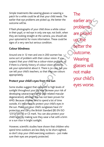Simple treatments like wearing glasses or wearing a patch for a while could be all that your child needs. The earlier that eye problems are picked up, the better the outcome will be.

If flash photographs of your child show a white colour in their pupil, or red eye in only one eye, not both, when they are looking straight at the camera, you should ask your optometrist for more information. These could be signs of a very rare but serious condition.

#### **Colour blindness**

Around one in 12 men and one in 200 women has some sort of problem with their colour vision. If you suspect that your child has a colour-vision problem, or if there is a family history of colour-vision problems, ask your optometrist about it. There is no cure, but you can tell your child's teachers, so that they use colours appropriately.

#### **Protect your child's eyes from the sun**

Some studies suggest that exposure to high levels of sunlight throughout your life may increase your risk of developing cataracts and AMD (age-related macular degeneration), although this has not been proven for AMD. Because children tend to spend a lot of time outside, it's important to protect your child's eyes in the sun. Make sure your child's sunglasses have UV protection and carry the British Standard (BS EN ISO 12312-1:2013) or CE mark. You can also protect your child's eyes by making sure they wear a hat with a brim or a sun visor in bright sunlight. eye problems are picked up, the better the<br>
eartlier any<br>
Some will be.<br>
She photographs of your child show a white colour<br>
every prior delight at the camera, you should ask<br>
are looking straight at the camera, you should

However, scientific studies have shown that children who spend time outdoors are less likely to be short-sighted, so don't stop your child exercising outdoors – just make sure their eyes are properly protected.

The earlier any problems are picked up, the better the outcome. **Wearing** glasses will not make your child's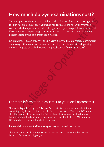### **How much do eye examinations cost?**

The NHS pays for sight tests for children under 16 years of age, and those aged 16 to 18 in full-time education. If your child needs glasses, the NHS will give you a voucher, which may cover the full cost of glasses, or you can put it towards the cost if you want more expensive glasses. You can take the voucher to any dispensing optician (person who sells prescription glasses). NHS pays for sight tests for children under 16 years of age, and those aged 16<br>
B in full-time education. If your child needs glasses, tor NHS will give you a<br>
b in full-time education. If your child needs glasses, to you

Children under 16 can only have their glasses dispensed by a registered optometrist, dispensing optician or a doctor. You can check if your optometrist or dispensing optician is registered with the General Optical Council (*www.optical.org*).

#### For more information, please talk to your local optometrist.

This leaflet is produced by the College of Optometrists, the professional, scientific and examining body for optometry in the UK. Our members use MCOptom or FCOptom after their name. Membership of the College shows their commitment to the very highest clinical, ethical and professional standards. Look for the letters MCOptom or FCOptom to see if your optometrist is a member.

#### Please visit *www.lookafteryoureyes.org* for more information.

This information should not replace advice that your optometrist or other relevant health professional would give you.